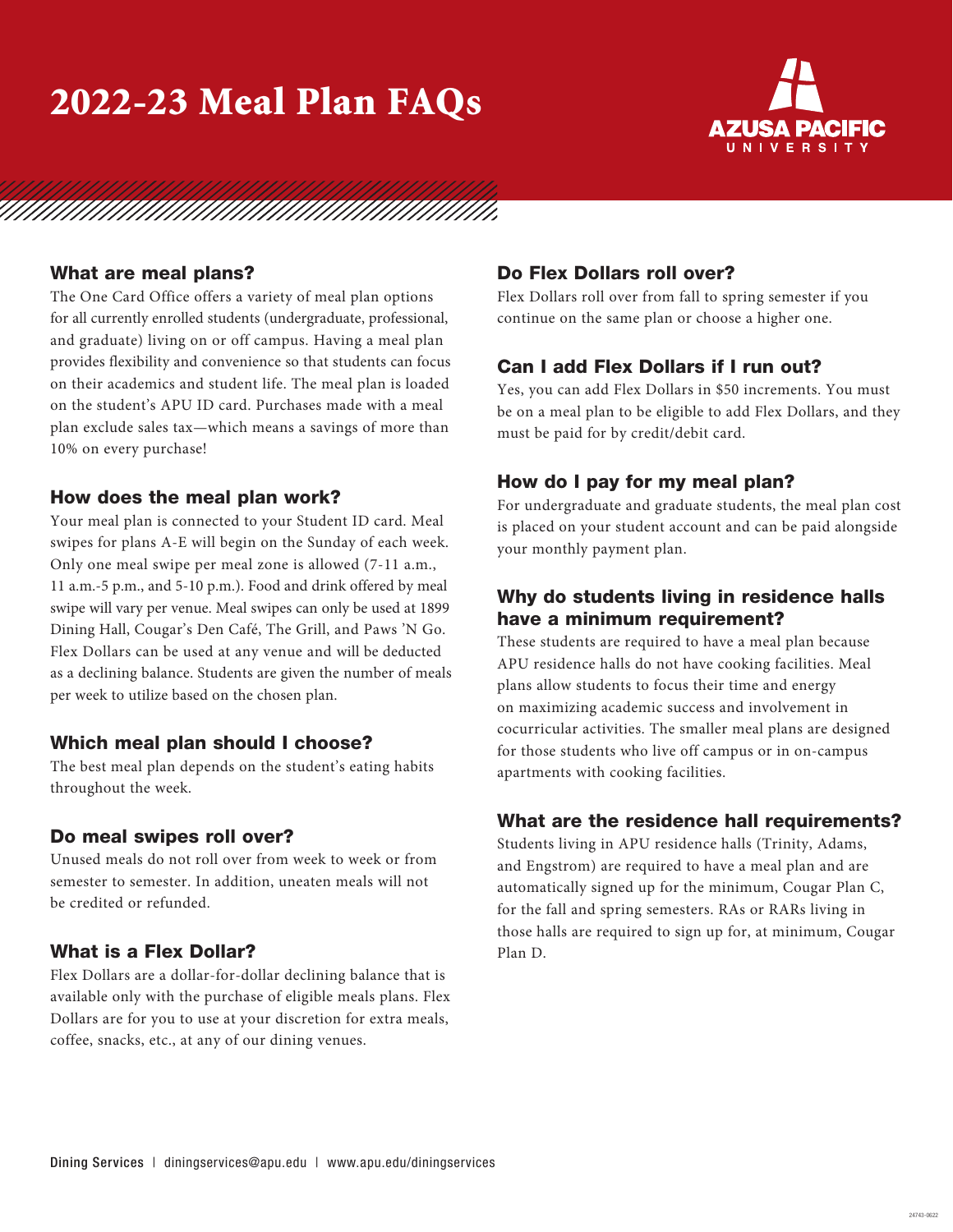# 2022-23 Meal Plan FAQs



# 

### What are meal plans?

The One Card Office offers a variety of meal plan options for all currently enrolled students (undergraduate, professional, and graduate) living on or off campus. Having a meal plan provides flexibility and convenience so that students can focus on their academics and student life. The meal plan is loaded on the student's APU ID card. Purchases made with a meal plan exclude sales tax—which means a savings of more than 10% on every purchase!

### How does the meal plan work?

Your meal plan is connected to your Student ID card. Meal swipes for plans A-E will begin on the Sunday of each week. Only one meal swipe per meal zone is allowed (7-11 a.m., 11 a.m.-5 p.m., and 5-10 p.m.). Food and drink offered by meal swipe will vary per venue. Meal swipes can only be used at 1899 Dining Hall, Cougar's Den Café, The Grill, and Paws 'N Go. Flex Dollars can be used at any venue and will be deducted as a declining balance. Students are given the number of meals per week to utilize based on the chosen plan.

### Which meal plan should I choose?

The best meal plan depends on the student's eating habits throughout the week.

#### Do meal swipes roll over?

Unused meals do not roll over from week to week or from semester to semester. In addition, uneaten meals will not be credited or refunded.

### What is a Flex Dollar?

Flex Dollars are a dollar-for-dollar declining balance that is available only with the purchase of eligible meals plans. Flex Dollars are for you to use at your discretion for extra meals, coffee, snacks, etc., at any of our dining venues.

## Do Flex Dollars roll over?

Flex Dollars roll over from fall to spring semester if you continue on the same plan or choose a higher one.

### Can I add Flex Dollars if I run out?

Yes, you can add Flex Dollars in \$50 increments. You must be on a meal plan to be eligible to add Flex Dollars, and they must be paid for by credit/debit card.

### How do I pay for my meal plan?

For undergraduate and graduate students, the meal plan cost is placed on your student account and can be paid alongside your monthly payment plan.

## Why do students living in residence halls have a minimum requirement?

These students are required to have a meal plan because APU residence halls do not have cooking facilities. Meal plans allow students to focus their time and energy on maximizing academic success and involvement in cocurricular activities. The smaller meal plans are designed for those students who live off campus or in on-campus apartments with cooking facilities.

### What are the residence hall requirements?

Students living in APU residence halls (Trinity, Adams, and Engstrom) are required to have a meal plan and are automatically signed up for the minimum, Cougar Plan C, for the fall and spring semesters. RAs or RARs living in those halls are required to sign up for, at minimum, Cougar Plan D.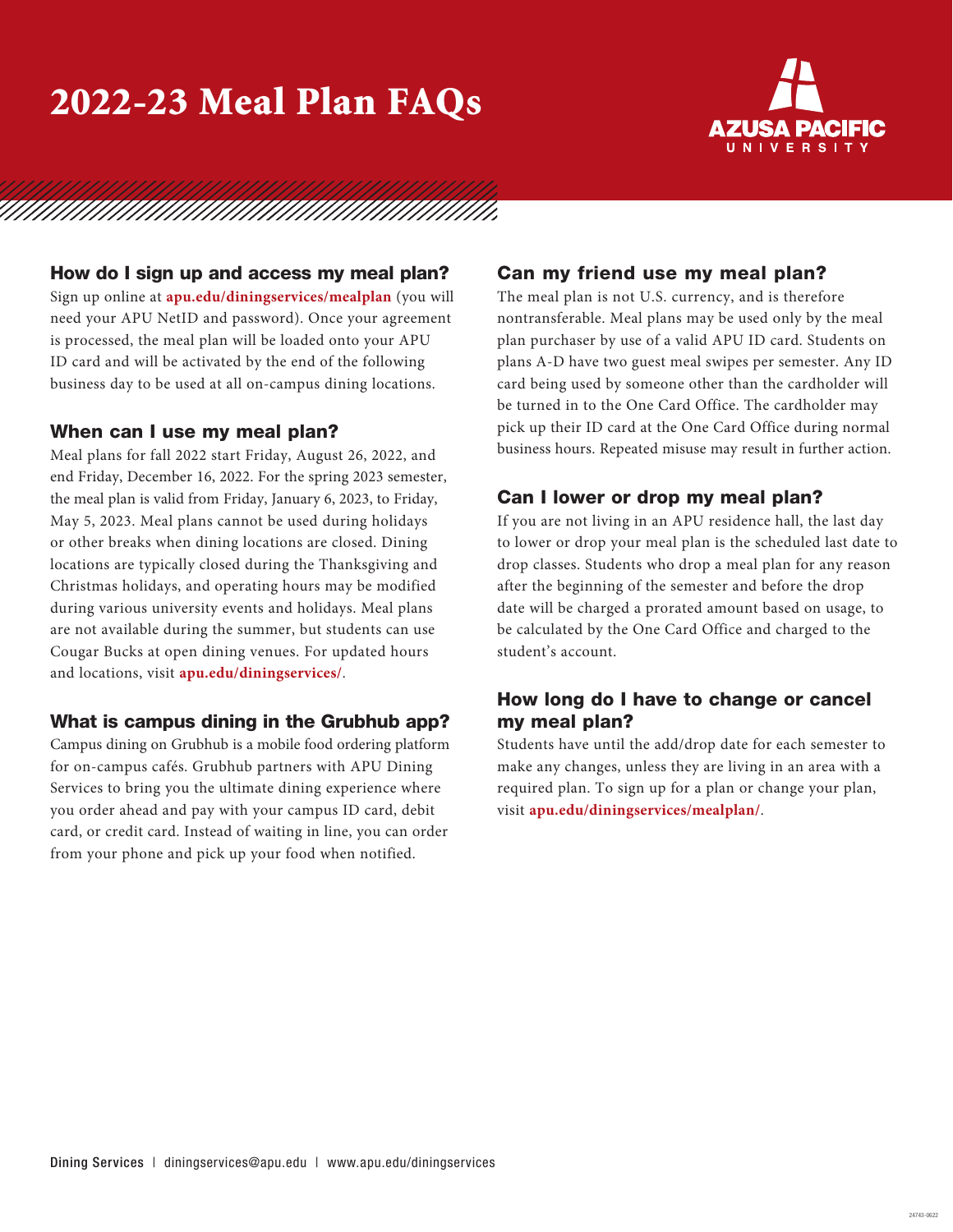# 2022-23 Meal Plan FAQs



# 

### How do I sign up and access my meal plan?

Sign up online at **apu.edu/diningservices/mealplan** (you will need your APU NetID and password). Once your agreement is processed, the meal plan will be loaded onto your APU ID card and will be activated by the end of the following business day to be used at all on-campus dining locations.

#### When can I use my meal plan?

Meal plans for fall 2022 start Friday, August 26, 2022, and end Friday, December 16, 2022. For the spring 2023 semester, the meal plan is valid from Friday, January 6, 2023, to Friday, May 5, 2023. Meal plans cannot be used during holidays or other breaks when dining locations are closed. Dining locations are typically closed during the Thanksgiving and Christmas holidays, and operating hours may be modified during various university events and holidays. Meal plans are not available during the summer, but students can use Cougar Bucks at open dining venues. For updated hours and locations, visit **apu.edu/diningservices/**.

### What is campus dining in the Grubhub app?

Campus dining on Grubhub is a mobile food ordering platform for on-campus cafés. Grubhub partners with APU Dining Services to bring you the ultimate dining experience where you order ahead and pay with your campus ID card, debit card, or credit card. Instead of waiting in line, you can order from your phone and pick up your food when notified.

### Can my friend use my meal plan?

The meal plan is not U.S. currency, and is therefore nontransferable. Meal plans may be used only by the meal plan purchaser by use of a valid APU ID card. Students on plans A-D have two guest meal swipes per semester. Any ID card being used by someone other than the cardholder will be turned in to the One Card Office. The cardholder may pick up their ID card at the One Card Office during normal business hours. Repeated misuse may result in further action.

### Can I lower or drop my meal plan?

If you are not living in an APU residence hall, the last day to lower or drop your meal plan is the scheduled last date to drop classes. Students who drop a meal plan for any reason after the beginning of the semester and before the drop date will be charged a prorated amount based on usage, to be calculated by the One Card Office and charged to the student's account.

# How long do I have to change or cancel my meal plan?

Students have until the add/drop date for each semester to make any changes, unless they are living in an area with a required plan. To sign up for a plan or change your plan, visit **apu.edu/diningservices/mealplan/**.